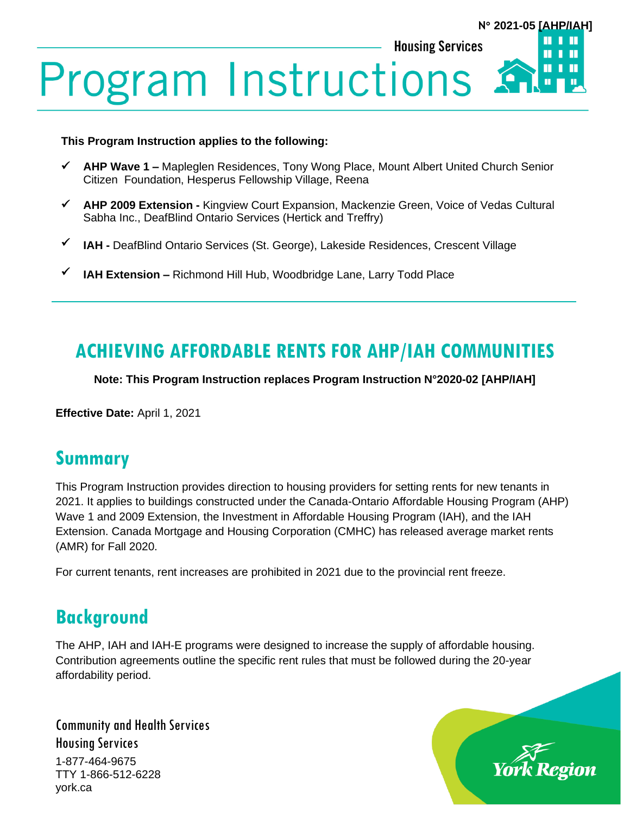### П **Housing Services** Ш **Program Instructions** П

#### **This Program Instruction applies to the following:**

- ✓ **AHP Wave 1 –** Mapleglen Residences, Tony Wong Place, Mount Albert United Church Senior Citizen Foundation, Hesperus Fellowship Village, Reena
- ✓ **AHP 2009 Extension -** Kingview Court Expansion, Mackenzie Green, Voice of Vedas Cultural Sabha Inc., DeafBlind Ontario Services (Hertick and Treffry)
- ✓ **IAH -** DeafBlind Ontario Services (St. George), Lakeside Residences, Crescent Village
- ✓ **IAH Extension –** Richmond Hill Hub, Woodbridge Lane, Larry Todd Place

# **ACHIEVING AFFORDABLE RENTS FOR AHP/IAH COMMUNITIES**

**Note: This Program Instruction replaces Program Instruction N°2020-02 [AHP/IAH]**

**Effective Date:** April 1, 2021

## **Summary**

This Program Instruction provides direction to housing providers for setting rents for new tenants in 2021. It applies to buildings constructed under the Canada-Ontario Affordable Housing Program (AHP) Wave 1 and 2009 Extension, the Investment in Affordable Housing Program (IAH), and the IAH Extension. Canada Mortgage and Housing Corporation (CMHC) has released average market rents (AMR) for Fall 2020.

For current tenants, rent increases are prohibited in 2021 due to the provincial rent freeze.

# **Background**

The AHP, IAH and IAH-E programs were designed to increase the supply of affordable housing. Contribution agreements outline the specific rent rules that must be followed during the 20-year affordability period.

Community and Health Services Housing Services 1-877-464-9675 TTY 1-866-512-6228 york.ca



**N 2021-05 [AHP/IAH]**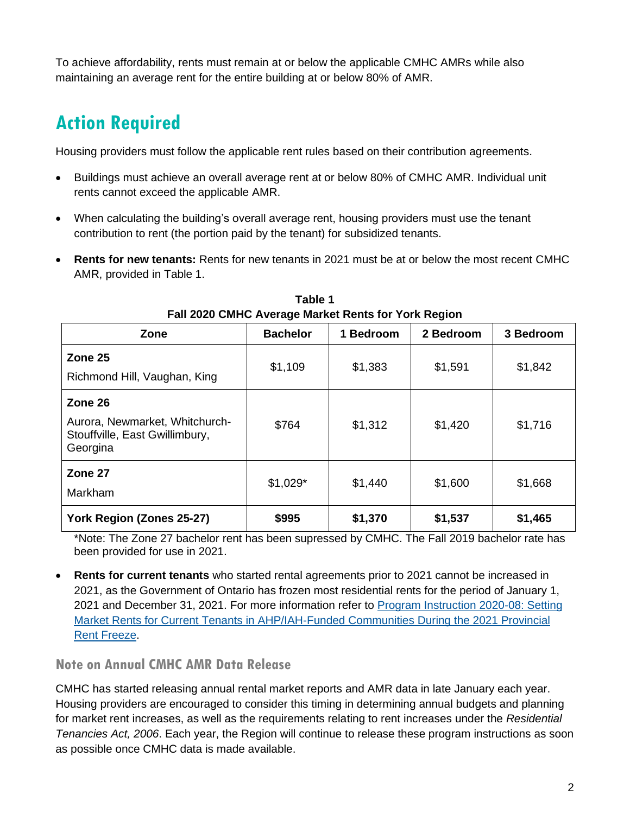To achieve affordability, rents must remain at or below the applicable CMHC AMRs while also maintaining an average rent for the entire building at or below 80% of AMR.

## **Action Required**

Housing providers must follow the applicable rent rules based on their contribution agreements.

- Buildings must achieve an overall average rent at or below 80% of CMHC AMR. Individual unit rents cannot exceed the applicable AMR.
- When calculating the building's overall average rent, housing providers must use the tenant contribution to rent (the portion paid by the tenant) for subsidized tenants.
- **Rents for new tenants:** Rents for new tenants in 2021 must be at or below the most recent CMHC AMR, provided in Table 1.

| ---                                                                                     |                 |           |           |           |
|-----------------------------------------------------------------------------------------|-----------------|-----------|-----------|-----------|
| Zone                                                                                    | <b>Bachelor</b> | 1 Bedroom | 2 Bedroom | 3 Bedroom |
| Zone 25<br>Richmond Hill, Vaughan, King                                                 | \$1,109         | \$1,383   | \$1,591   | \$1,842   |
| Zone 26<br>Aurora, Newmarket, Whitchurch-<br>Stouffville, East Gwillimbury,<br>Georgina | \$764           | \$1,312   | \$1,420   | \$1,716   |
| Zone 27<br>Markham                                                                      | $$1,029*$       | \$1,440   | \$1,600   | \$1,668   |
| York Region (Zones 25-27)                                                               | \$995           | \$1,370   | \$1,537   | \$1,465   |

**Table 1 Fall 2020 CMHC Average Market Rents for York Region**

\*Note: The Zone 27 bachelor rent has been supressed by CMHC. The Fall 2019 bachelor rate has been provided for use in 2021.

• **Rents for current tenants** who started rental agreements prior to 2021 cannot be increased in 2021, as the Government of Ontario has frozen most residential rents for the period of January 1, 2021 and December 31, 2021. For more information refer to [Program Instruction 2020-08: Setting](https://www.york.ca/wps/wcm/connect/yorkpublic/814ff13e-2355-4481-8320-a20941bd3a17/PI-2020-08-Implementing-the-2021-Provincial-Rent-Freeze-for-Current-Market-Rent-Tenants-in-AHP-IAH-Funded-Communities.pdf?MOD=AJPERES&CVID=npTz1ZR)  [Market Rents for Current Tenants in AHP/IAH-Funded Communities During the 2021 Provincial](https://www.york.ca/wps/wcm/connect/yorkpublic/814ff13e-2355-4481-8320-a20941bd3a17/PI-2020-08-Implementing-the-2021-Provincial-Rent-Freeze-for-Current-Market-Rent-Tenants-in-AHP-IAH-Funded-Communities.pdf?MOD=AJPERES&CVID=npTz1ZR)  [Rent Freeze.](https://www.york.ca/wps/wcm/connect/yorkpublic/814ff13e-2355-4481-8320-a20941bd3a17/PI-2020-08-Implementing-the-2021-Provincial-Rent-Freeze-for-Current-Market-Rent-Tenants-in-AHP-IAH-Funded-Communities.pdf?MOD=AJPERES&CVID=npTz1ZR)

### **Note on Annual CMHC AMR Data Release**

CMHC has started releasing annual rental market reports and AMR data in late January each year. Housing providers are encouraged to consider this timing in determining annual budgets and planning for market rent increases, as well as the requirements relating to rent increases under the *Residential Tenancies Act, 2006*. Each year, the Region will continue to release these program instructions as soon as possible once CMHC data is made available.